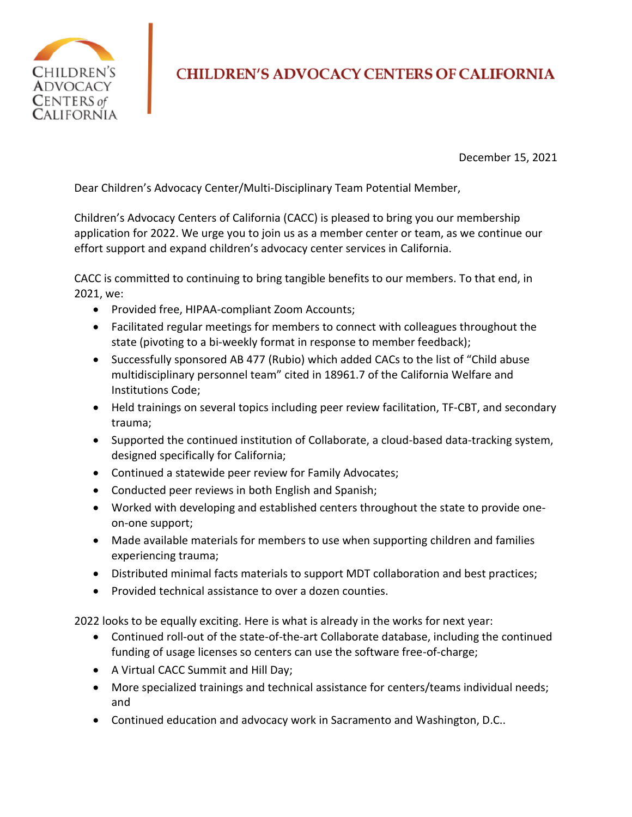

## **CHILDREN'S ADVOCACY CENTERS OF CALIFORNIA**

December 15, 2021

Dear Children's Advocacy Center/Multi-Disciplinary Team Potential Member,

Children's Advocacy Centers of California (CACC) is pleased to bring you our membership application for 2022. We urge you to join us as a member center or team, as we continue our effort support and expand children's advocacy center services in California.

CACC is committed to continuing to bring tangible benefits to our members. To that end, in 2021, we:

- Provided free, HIPAA-compliant Zoom Accounts;
- Facilitated regular meetings for members to connect with colleagues throughout the state (pivoting to a bi-weekly format in response to member feedback);
- Successfully sponsored AB 477 (Rubio) which added CACs to the list of "Child abuse multidisciplinary personnel team" cited in 18961.7 of the California Welfare and Institutions Code;
- Held trainings on several topics including peer review facilitation, TF-CBT, and secondary trauma;
- Supported the continued institution of Collaborate, a cloud-based data-tracking system, designed specifically for California;
- Continued a statewide peer review for Family Advocates;
- Conducted peer reviews in both English and Spanish;
- Worked with developing and established centers throughout the state to provide oneon-one support;
- Made available materials for members to use when supporting children and families experiencing trauma;
- Distributed minimal facts materials to support MDT collaboration and best practices;
- Provided technical assistance to over a dozen counties.

2022 looks to be equally exciting. Here is what is already in the works for next year:

- Continued roll-out of the state-of-the-art Collaborate database, including the continued funding of usage licenses so centers can use the software free-of-charge;
- A Virtual CACC Summit and Hill Day;
- More specialized trainings and technical assistance for centers/teams individual needs; and
- Continued education and advocacy work in Sacramento and Washington, D.C..